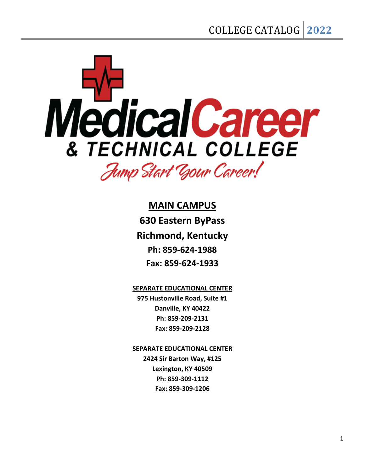

**MAIN CAMPUS 630 Eastern ByPass Richmond, Kentucky Ph: 859-624-1988 Fax: 859-624-1933**

**SEPARATE EDUCATIONAL CENTER**

**975 Hustonville Road, Suite #1 Danville, KY 40422 Ph: 859-209-2131 Fax: 859-209-2128**

**SEPARATE EDUCATIONAL CENTER**

**2424 Sir Barton Way, #125 Lexington, KY 40509 Ph: 859-309-1112 Fax: 859-309-1206**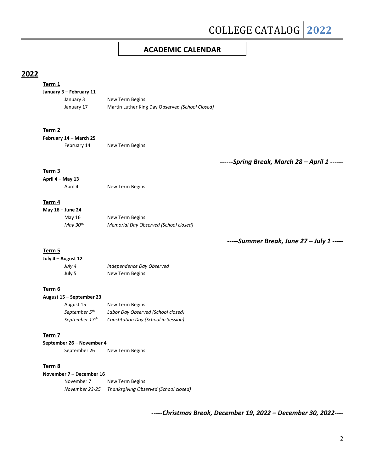### **ACADEMIC CALENDAR**

## **2022**

#### **Term 1 January 3 – February 11** January 3 New Term Begins January 17 Martin Luther King Day Observed *(School Closed)*

#### **Term 2**

**February 14 – March 25** February 14 New Term Begins

*------Spring Break, March 28 – April 1 ------*

#### **Term 3**

**April 4 – May 13**

April 4 New Term Begins

#### **Term 4**

| May 16 – June 24     |                                       |
|----------------------|---------------------------------------|
| May 16               | New Term Begins                       |
| Mav 30 <sup>th</sup> | Memorial Day Observed (School closed) |

*-----Summer Break, June 27 – July 1 -----*

#### **Term 5**

| July 4 – August 12 |                           |
|--------------------|---------------------------|
| July 4             | Independence Day Observed |
| July 5             | New Term Begins           |

#### **Term 6**

| August 15 – September 23  |                                      |
|---------------------------|--------------------------------------|
| August 15                 | New Term Begins                      |
| September 5 <sup>th</sup> | Labor Day Observed (School closed)   |
| September 17th            | Constitution Day (School in Session) |

#### **Term 7**

**September 26 – November 4**

September 26 New Term Begins

#### **Term 8**

| November 7 – December 16 |                                       |  |
|--------------------------|---------------------------------------|--|
| November 7               | New Term Begins                       |  |
| November 23-25           | Thanksgiving Observed (School closed) |  |

*-----Christmas Break, December 19, 2022 – December 30, 2022----*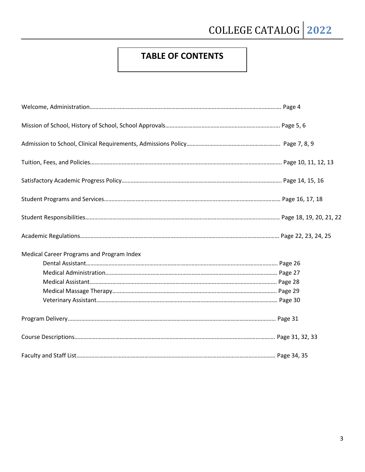# **TABLE OF CONTENTS**

| Medical Career Programs and Program Index |  |
|-------------------------------------------|--|
|                                           |  |
|                                           |  |
|                                           |  |
|                                           |  |
|                                           |  |
|                                           |  |
|                                           |  |
|                                           |  |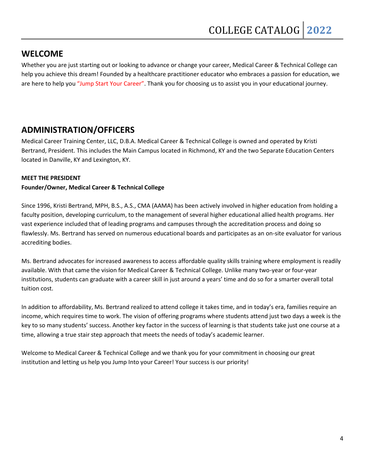## **WELCOME**

Whether you are just starting out or looking to advance or change your career, Medical Career & Technical College can help you achieve this dream! Founded by a healthcare practitioner educator who embraces a passion for education, we are here to help you "Jump Start Your Career". Thank you for choosing us to assist you in your educational journey.

## **ADMINISTRATION/OFFICERS**

Medical Career Training Center, LLC, D.B.A. Medical Career & Technical College is owned and operated by Kristi Bertrand, President. This includes the Main Campus located in Richmond, KY and the two Separate Education Centers located in Danville, KY and Lexington, KY.

### **MEET THE PRESIDENT**

### **Founder/Owner, Medical Career & Technical College**

Since 1996, Kristi Bertrand, MPH, B.S., A.S., CMA (AAMA) has been actively involved in higher education from holding a faculty position, developing curriculum, to the management of several higher educational allied health programs. Her vast experience included that of leading programs and campuses through the accreditation process and doing so flawlessly. Ms. Bertrand has served on numerous educational boards and participates as an on-site evaluator for various accrediting bodies.

Ms. Bertrand advocates for increased awareness to access affordable quality skills training where employment is readily available. With that came the vision for Medical Career & Technical College. Unlike many two-year or four-year institutions, students can graduate with a career skill in just around a years' time and do so for a smarter overall total tuition cost.

In addition to affordability, Ms. Bertrand realized to attend college it takes time, and in today's era, families require an income, which requires time to work. The vision of offering programs where students attend just two days a week is the key to so many students' success. Another key factor in the success of learning is that students take just one course at a time, allowing a true stair step approach that meets the needs of today's academic learner.

Welcome to Medical Career & Technical College and we thank you for your commitment in choosing our great institution and letting us help you Jump Into your Career! Your success is our priority!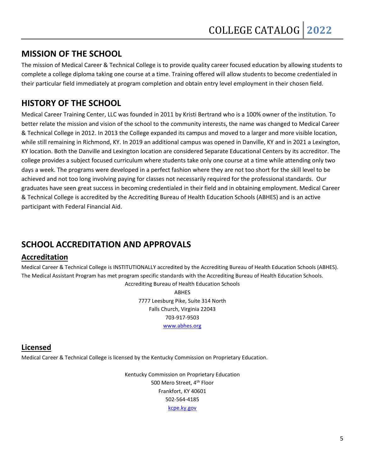## **MISSION OF THE SCHOOL**

The mission of Medical Career & Technical College is to provide quality career focused education by allowing students to complete a college diploma taking one course at a time. Training offered will allow students to become credentialed in their particular field immediately at program completion and obtain entry level employment in their chosen field.

## **HISTORY OF THE SCHOOL**

Medical Career Training Center, LLC was founded in 2011 by Kristi Bertrand who is a 100% owner of the institution. To better relate the mission and vision of the school to the community interests, the name was changed to Medical Career & Technical College in 2012. In 2013 the College expanded its campus and moved to a larger and more visible location, while still remaining in Richmond, KY. In 2019 an additional campus was opened in Danville, KY and in 2021 a Lexington, KY location. Both the Danville and Lexington location are considered Separate Educational Centers by its accreditor. The college provides a subject focused curriculum where students take only one course at a time while attending only two days a week. The programs were developed in a perfect fashion where they are not too short for the skill level to be achieved and not too long involving paying for classes not necessarily required for the professional standards. Our graduates have seen great success in becoming credentialed in their field and in obtaining employment. Medical Career & Technical College is accredited by the Accrediting Bureau of Health Education Schools (ABHES) and is an active participant with Federal Financial Aid.

## **SCHOOL ACCREDITATION AND APPROVALS**

## **Accreditation**

Medical Career & Technical College is INSTITUTIONALLY accredited by the Accrediting Bureau of Health Education Schools (ABHES). The Medical Assistant Program has met program specific standards with the Accrediting Bureau of Health Education Schools.

> Accrediting Bureau of Health Education Schools ABHES 7777 Leesburg Pike, Suite 314 North Falls Church, Virginia 22043 703-917-9503 [www.abhes.org](http://www.abhes.org/)

## **Licensed**

Medical Career & Technical College is licensed by the Kentucky Commission on Proprietary Education.

Kentucky Commission on Proprietary Education 500 Mero Street, 4<sup>th</sup> Floor Frankfort, KY 40601 502-564-4185 [kcpe.ky.gov](mailto:kcpe@ky.gov)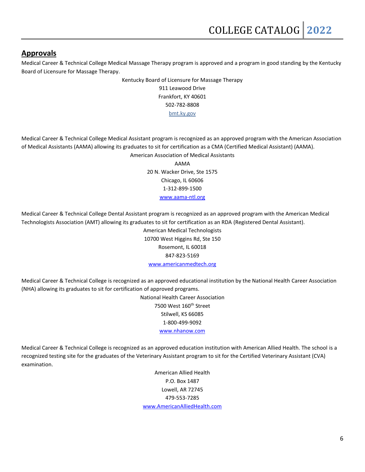### **Approvals**

Medical Career & Technical College Medical Massage Therapy program is approved and a program in good standing by the Kentucky Board of Licensure for Massage Therapy.

> Kentucky Board of Licensure for Massage Therapy 911 Leawood Drive Frankfort, KY 40601 502-782-8808

bmt.ky.gov

Medical Career & Technical College Medical Assistant program is recognized as an approved program with the American Association of Medical Assistants (AAMA) allowing its graduates to sit for certification as a CMA (Certified Medical Assistant) (AAMA). American Association of Medical Assistants

AAMA 20 N. Wacker Drive, Ste 1575 Chicago, IL 60606 1-312-899-1500 [www.aama-ntl.org](http://www.aama-ntl.org/)

Medical Career & Technical College Dental Assistant program is recognized as an approved program with the American Medical Technologists Association (AMT) allowing its graduates to sit for certification as an RDA (Registered Dental Assistant).

> American Medical Technologists 10700 West Higgins Rd, Ste 150 Rosemont, IL 60018 847-823-5169 [www.americanmedtech.org](http://www.americanmedtech.org/)

Medical Career & Technical College is recognized as an approved educational institution by the National Health Career Association (NHA) allowing its graduates to sit for certification of approved programs.

> National Health Career Association 7500 West 160<sup>th</sup> Street Stilwell, KS 66085 1-800-499-9092 [www.nhanow.com](http://www.nhanow.com/)

Medical Career & Technical College is recognized as an approved education institution with American Allied Health. The school is a recognized testing site for the graduates of the Veterinary Assistant program to sit for the Certified Veterinary Assistant (CVA) examination.

> American Allied Health P.O. Box 1487 Lowell, AR 72745 479-553-7285 [www.AmericanAlliedHealth.com](http://www.americanalliedhealth.com/)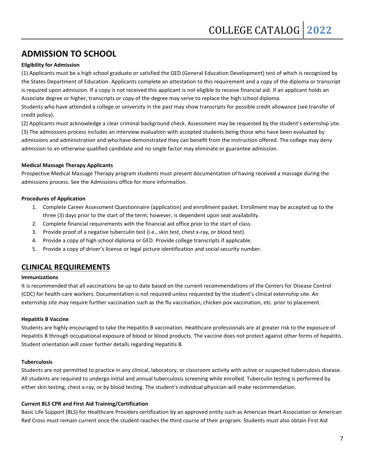## **ADMISSION TO SCHOOL**

#### **Eligibility for Admission**

(1) Applicants must be a high school graduate or satisfied the GED (General Education Development) test of which is recognized by the States Department of Education. Applicants complete an attestation to this requirement and a copy of the diploma or transcript is required upon admission. If a copy is not received this applicant is not eligible to receive financial aid. If an applicant holds an Associate degree or higher, transcripts or copy of the degree may serve to replace the high school diploma.

Students who have attended a college or university in the past may show transcripts for possible credit allowance (see transfer of credit policy).

(2) Applicants must acknowledge a clear criminal background check. Assessment may be requested by the student's externship site. (3) The admissions process includes an interview evaluation with accepted students being those who have been evaluated by admissions and administration and who have demonstrated they can benefit from the instruction offered. The college may deny admission to an otherwise qualified candidate and no single factor may eliminate or guarantee admission.

#### **Medical Massage Therapy Applicants**

Prospective Medical Massage Therapy program students must present documentation of having received a massage during the admissions process. See the Admissions office for more information.

#### **Procedures of Application**

- 1. Complete Career Assessment Questionnaire (application) and enrollment packet. Enrollment may be accepted up to the three (3) days prior to the start of the term; however, is dependent upon seat availability.
- 2. Complete financial requirements with the financial aid office prior to the start of class.
- 3. Provide proof of a negative tuberculin test (i.e., skin test, chest x-ray, or blood test).
- 4. Provide a copy of high school diploma or GED. Provide college transcripts if applicable.
- 5. Provide a copy of driver's license or legal picture identification and social security number.

### **CLINICAL REQUIREMENTS**

#### **Immunizations**

It is recommended that all vaccinations be up to date based on the current recommendations of the Centers for Disease Control (CDC) for health-care workers. Documentation is not required unless requested by the student's clinical externship site. An externship site may require further vaccination such as the flu vaccination, chicken pox vaccination, etc. prior to placement.

#### **Hepatitis B Vaccine**

Students are highly encouraged to take the Hepatitis B vaccination. Healthcare professionals are at greater risk to the exposure of Hepatitis B through occupational exposure of blood or blood products. The vaccine does not protect against other forms of hepatitis. Student orientation will cover further details regarding Hepatitis B.

#### **Tuberculosis**

Students are not permitted to practice in any clinical, laboratory, or classroom activity with active or suspected tuberculosis disease. All students are required to undergo initial and annual tuberculosis screening while enrolled. Tuberculin testing is performed by either skin testing, chest x-ray, or by blood testing. The student's individual physician will make recommendation.

#### **Current BLS CPR and First Aid Training/Certification**

Basic Life Support (BLS) for Healthcare Providers certification by an approved entity such as American Heart Association or American Red Cross must remain current once the student reaches the third course of their program. Students must also obtain First Aid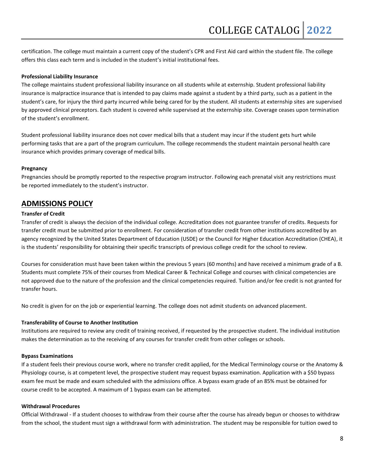certification. The college must maintain a current copy of the student's CPR and First Aid card within the student file. The college offers this class each term and is included in the student's initial institutional fees.

#### **Professional Liability Insurance**

The college maintains student professional liability insurance on all students while at externship. Student professional liability insurance is malpractice insurance that is intended to pay claims made against a student by a third party, such as a patient in the student's care, for injury the third party incurred while being cared for by the student. All students at externship sites are supervised by approved clinical preceptors. Each student is covered while supervised at the externship site. Coverage ceases upon termination of the student's enrollment.

Student professional liability insurance does not cover medical bills that a student may incur if the student gets hurt while performing tasks that are a part of the program curriculum. The college recommends the student maintain personal health care insurance which provides primary coverage of medical bills.

#### **Pregnancy**

Pregnancies should be promptly reported to the respective program instructor. Following each prenatal visit any restrictions must be reported immediately to the student's instructor.

### **ADMISSIONS POLICY**

#### **Transfer of Credit**

Transfer of credit is always the decision of the individual college. Accreditation does not guarantee transfer of credits. Requests for transfer credit must be submitted prior to enrollment. For consideration of transfer credit from other institutions accredited by an agency recognized by the United States Department of Education (USDE) or the Council for Higher Education Accreditation (CHEA), it is the students' responsibility for obtaining their specific transcripts of previous college credit for the school to review.

Courses for consideration must have been taken within the previous 5 years (60 months) and have received a minimum grade of a B. Students must complete 75% of their courses from Medical Career & Technical College and courses with clinical competencies are not approved due to the nature of the profession and the clinical competencies required. Tuition and/or fee credit is not granted for transfer hours.

No credit is given for on the job or experiential learning. The college does not admit students on advanced placement.

#### **Transferability of Course to Another Institution**

Institutions are required to review any credit of training received, if requested by the prospective student. The individual institution makes the determination as to the receiving of any courses for transfer credit from other colleges or schools.

#### **Bypass Examinations**

If a student feels their previous course work, where no transfer credit applied, for the Medical Terminology course or the Anatomy & Physiology course, is at competent level, the prospective student may request bypass examination. Application with a \$50 bypass exam fee must be made and exam scheduled with the admissions office. A bypass exam grade of an 85% must be obtained for course credit to be accepted. A maximum of 1 bypass exam can be attempted.

#### **Withdrawal Procedures**

Official Withdrawal - If a student chooses to withdraw from their course after the course has already begun or chooses to withdraw from the school, the student must sign a withdrawal form with administration. The student may be responsible for tuition owed to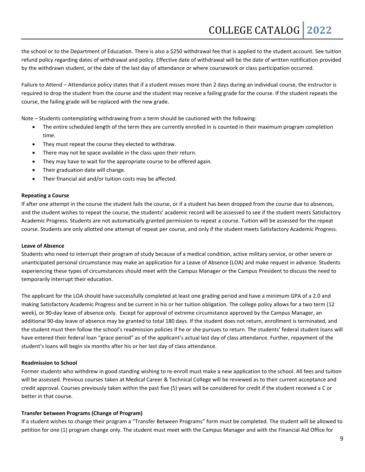the school or to the Department of Education. There is also a \$250 withdrawal fee that is applied to the student account. See tuition refund policy regarding dates of withdrawal and policy. Effective date of withdrawal will be the date of written notification provided by the withdrawn student, or the date of the last day of attendance or where coursework or class participation occurred.

Failure to Attend – Attendance policy states that if a student misses more than 2 days during an individual course, the instructor is required to drop the student from the course and the student may receive a failing grade for the course. If the student repeats the course, the failing grade will be replaced with the new grade.

Note – Students contemplating withdrawing from a term should be cautioned with the following:

- The entire scheduled length of the term they are currently enrolled in is counted in their maximum program completion time.
- They must repeat the course they elected to withdraw.
- There may not be space available in the class upon their return.
- They may have to wait for the appropriate course to be offered again.
- Their graduation date will change.
- Their financial aid and/or tuition costs may be affected.

#### **Repeating a Course**

If after one attempt in the course the student fails the course, or if a student has been dropped from the course due to absences, and the student wishes to repeat the course, the students' academic record will be assessed to see if the student meets Satisfactory Academic Progress. Students are not automatically granted permission to repeat a course. Tuition will be assessed for the repeat course. Students are only allotted one attempt of repeat per course, and only if the student meets Satisfactory Academic Progress.

#### **Leave of Absence**

Students who need to interrupt their program of study because of a medical condition, active military service, or other severe or unanticipated personal circumstance may make an application for a Leave of Absence (LOA) and make request in advance. Students experiencing these types of circumstances should meet with the Campus Manager or the Campus President to discuss the need to temporarily interrupt their education.

The applicant for the LOA should have successfully completed at least one grading period and have a minimum GPA of a 2.0 and making Satisfactory Academic Progress and be current in his or her tuition obligation. The college policy allows for a two term (12 week), or 90-day leave of absence only. Except for approval of extreme circumstance approved by the Campus Manager, an additional 90-day leave of absence may be granted to total 180 days. If the student does not return, enrollment is terminated, and the student must then follow the school's readmission policies if he or she pursues to return. The students' federal student loans will have entered their federal loan "grace period" as of the applicant's actual last day of class attendance. Further, repayment of the student's loans will begin six months after his or her last day of class attendance.

#### **Readmission to School**

Former students who withdrew in good standing wishing to re-enroll must make a new application to the school. All fees and tuition will be assessed. Previous courses taken at Medical Career & Technical College will be reviewed as to their current acceptance and credit approval. Courses previously taken within the past five (5) years will be considered for credit if the student received a C or better in that course.

#### **Transfer between Programs (Change of Program)**

If a student wishes to change their program a "Transfer Between Programs" form must be completed. The student will be allowed to petition for one (1) program change only. The student must meet with the Campus Manager and with the Financial Aid Office for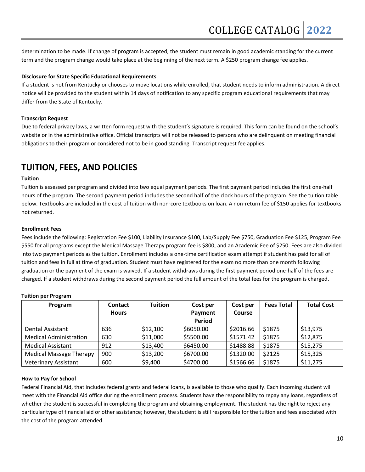determination to be made. If change of program is accepted, the student must remain in good academic standing for the current term and the program change would take place at the beginning of the next term. A \$250 program change fee applies.

#### **Disclosure for State Specific Educational Requirements**

If a student is not from Kentucky or chooses to move locations while enrolled, that student needs to inform administration. A direct notice will be provided to the student within 14 days of notification to any specific program educational requirements that may differ from the State of Kentucky.

#### **Transcript Request**

Due to federal privacy laws, a written form request with the student's signature is required. This form can be found on the school's website or in the administrative office. Official transcripts will not be released to persons who are delinquent on meeting financial obligations to their program or considered not to be in good standing. Transcript request fee applies.

## **TUITION, FEES, AND POLICIES**

#### **Tuition**

Tuition is assessed per program and divided into two equal payment periods. The first payment period includes the first one-half hours of the program. The second payment period includes the second half of the clock hours of the program. See the tuition table below. Textbooks are included in the cost of tuition with non-core textbooks on loan. A non-return fee of \$150 applies for textbooks not returned.

#### **Enrollment Fees**

Fees include the following: Registration Fee \$100, Liability Insurance \$100, Lab/Supply Fee \$750, Graduation Fee \$125, Program Fee \$550 for all programs except the Medical Massage Therapy program fee is \$800, and an Academic Fee of \$250. Fees are also divided into two payment periods as the tuition. Enrollment includes a one-time certification exam attempt if student has paid for all of tuition and fees in full at time of graduation. Student must have registered for the exam no more than one month following graduation or the payment of the exam is waived. If a student withdraws during the first payment period one-half of the fees are charged. If a student withdraws during the second payment period the full amount of the total fees for the program is charged.

| Program                        | <b>Contact</b> | <b>Tuition</b> | Cost per  | Cost per  | <b>Fees Total</b> | <b>Total Cost</b> |
|--------------------------------|----------------|----------------|-----------|-----------|-------------------|-------------------|
|                                | <b>Hours</b>   |                | Payment   | Course    |                   |                   |
|                                |                |                | Period    |           |                   |                   |
| Dental Assistant               | 636            | \$12,100       | \$6050.00 | \$2016.66 | \$1875            | \$13,975          |
| <b>Medical Administration</b>  | 630            | \$11,000       | \$5500.00 | \$1571.42 | \$1875            | \$12,875          |
| <b>Medical Assistant</b>       | 912            | \$13,400       | \$6450.00 | \$1488.88 | \$1875            | \$15,275          |
| <b>Medical Massage Therapy</b> | 900            | \$13,200       | \$6700.00 | \$1320.00 | \$2125            | \$15,325          |
| <b>Veterinary Assistant</b>    | 600            | \$9,400        | \$4700.00 | \$1566.66 | \$1875            | \$11,275          |

#### **Tuition per Program**

#### **How to Pay for School**

Federal Financial Aid, that includes federal grants and federal loans, is available to those who qualify. Each incoming student will meet with the Financial Aid office during the enrollment process. Students have the responsibility to repay any loans, regardless of whether the student is successful in completing the program and obtaining employment. The student has the right to reject any particular type of financial aid or other assistance; however, the student is still responsible for the tuition and fees associated with the cost of the program attended.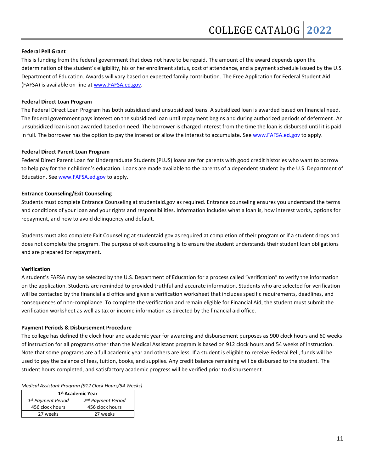#### **Federal Pell Grant**

This is funding from the federal government that does not have to be repaid. The amount of the award depends upon the determination of the student's eligibility, his or her enrollment status, cost of attendance, and a payment schedule issued by the U.S. Department of Education. Awards will vary based on expected family contribution. The Free Application for Federal Student Aid (FAFSA) is available on-line a[t www.FAFSA.ed.gov.](http://www.fafsa.ed.gov/)

#### **Federal Direct Loan Program**

The Federal Direct Loan Program has both subsidized and unsubsidized loans. A subsidized loan is awarded based on financial need. The federal government pays interest on the subsidized loan until repayment begins and during authorized periods of deferment. An unsubsidized loan is not awarded based on need. The borrower is charged interest from the time the loan is disbursed until it is paid in full. The borrower has the option to pay the interest or allow the interest to accumulate. Se[e www.FAFSA.ed.gov](http://www.fafsa.ed.gov/) to apply.

#### **Federal Direct Parent Loan Program**

Federal Direct Parent Loan for Undergraduate Students (PLUS) loans are for parents with good credit histories who want to borrow to help pay for their children's education. Loans are made available to the parents of a dependent student by the U.S. Department of Education. See [www.FAFSA.ed.gov](http://www.fafsa.ed.gov/) to apply.

#### **Entrance Counseling/Exit Counseling**

Students must complete Entrance Counseling at studentaid.gov as required. Entrance counseling ensures you understand the terms and conditions of your loan and your rights and responsibilities. Information includes what a loan is, how interest works, options for repayment, and how to avoid delinquency and default.

Students must also complete Exit Counseling at studentaid.gov as required at completion of their program or if a student drops and does not complete the program. The purpose of exit counseling is to ensure the student understands their student loan obligations and are prepared for repayment.

#### **Verification**

A student's FAFSA may be selected by the U.S. Department of Education for a process called "verification" to verify the information on the application. Students are reminded to provided truthful and accurate information. Students who are selected for verification will be contacted by the financial aid office and given a verification worksheet that includes specific requirements, deadlines, and consequences of non-compliance. To complete the verification and remain eligible for Financial Aid, the student must submit the verification worksheet as well as tax or income information as directed by the financial aid office.

#### **Payment Periods & Disbursement Procedure**

The college has defined the clock hour and academic year for awarding and disbursement purposes as 900 clock hours and 60 weeks of instruction for all programs other than the Medical Assistant program is based on 912 clock hours and 54 weeks of instruction. Note that some programs are a full academic year and others are less. If a student is eligible to receive Federal Pell, funds will be used to pay the balance of fees, tuition, books, and supplies. Any credit balance remaining will be disbursed to the student. The student hours completed, and satisfactory academic progress will be verified prior to disbursement.

|  | Medical Assistant Program (912 Clock Hours/54 Weeks) |
|--|------------------------------------------------------|
|--|------------------------------------------------------|

| 1 <sup>st</sup> Academic Year  |                                |  |
|--------------------------------|--------------------------------|--|
| 1 <sup>st</sup> Payment Period | 2 <sup>nd</sup> Payment Period |  |
| 456 clock hours                | 456 clock hours                |  |
| 27 weeks                       | 27 weeks                       |  |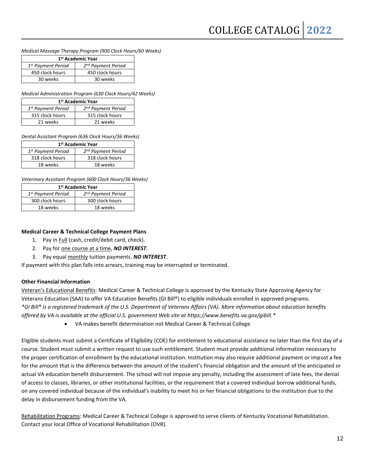*Medical Massage Therapy Program (900 Clock Hours/60 Weeks)*

| 1 <sup>st</sup> Academic Year  |                                |  |
|--------------------------------|--------------------------------|--|
| 1 <sup>st</sup> Payment Period | 2 <sup>nd</sup> Payment Period |  |
| 450 clock hours                | 450 clock hours                |  |
| 30 weeks                       | 30 weeks                       |  |

*Medical Administration Program (630 Clock Hours/42 Weeks)*

| 1 <sup>st</sup> Academic Year  |                                |  |
|--------------------------------|--------------------------------|--|
| 1 <sup>st</sup> Payment Period | 2 <sup>nd</sup> Payment Period |  |
| 315 clock hours                | 315 clock hours                |  |
| 21 weeks                       | 21 weeks                       |  |

*Dental Assistant Program (636 Clock Hours/36 Weeks)*

| 1 <sup>st</sup> Academic Year  |                                |  |
|--------------------------------|--------------------------------|--|
| 1 <sup>st</sup> Payment Period | 2 <sup>nd</sup> Payment Period |  |
| 318 clock hours                | 318 clock hours                |  |
| 18 weeks                       | 18 weeks                       |  |

*Veterinary Assistant Program (600 Clock Hours/36 Weeks)*

| 1 <sup>st</sup> Academic Year  |                                |  |
|--------------------------------|--------------------------------|--|
| 1 <sup>st</sup> Payment Period | 2 <sup>nd</sup> Payment Period |  |
| 300 clock hours                | 300 clock hours                |  |
| 18 weeks                       | 18 weeks                       |  |

#### **Medical Career & Technical College Payment Plans**

- 1. Pay in Full (cash, credit/debit card, check).
- 2. Pay for one course at a time, *NO INTEREST*.
- 3. Pay equal monthly tuition payments. *NO INTEREST*.

If payment with this plan falls into arrears, training may be interrupted or terminated.

#### **Other Financial Information**

Veteran's Educational Benefits: Medical Career & Technical College is approved by the Kentucky State Approving Agency for Veterans Education (SAA) to offer VA Education Benefits (GI Bill®) to eligible individuals enrolled in approved programs. *\*GI Bill® is a registered trademark of the U.S. Department of Veterans Affairs (VA). More information about education benefits offered by VA is available at the official U.S. government Web site at https://www.benefits.va.gov/gibill.\**

• VA makes benefit determination not Medical Career & Technical College

Eligible students must submit a Certificate of Eligibility (COE) for entitlement to educational assistance no later than the first day of a course. Student must submit a written request to use such entitlement. Student must provide additional information necessary to the proper certification of enrollment by the educational institution. Institution may also require additional payment or impost a fee for the amount that is the difference between the amount of the student's financial obligation and the amount of the anticipated or actual VA education benefit disbursement. The school will not impose any penalty, including the assessment of late fees, the denial of access to classes, libraries, or other institutional facilities, or the requirement that a covered individual borrow additional funds, on any covered individual because of the individual's inability to meet his or her financial obligations to the institution due to the delay in disbursement funding from the VA.

Rehabilitation Programs: Medical Career & Technical College is approved to serve clients of Kentucky Vocational Rehabilitation. Contact your local Office of Vocational Rehabilitation (OVR).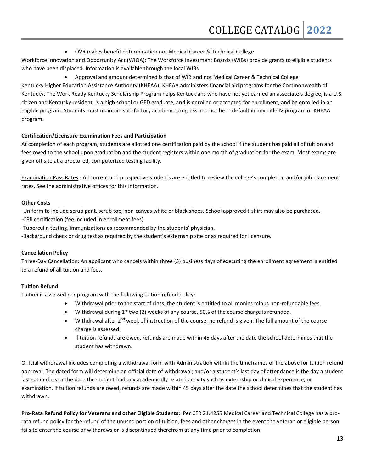• OVR makes benefit determination not Medical Career & Technical College

Workforce Innovation and Opportunity Act (WIOA): The Workforce Investment Boards (WIBs) provide grants to eligible students who have been displaced. Information is available through the local WIBs.

• Approval and amount determined is that of WIB and not Medical Career & Technical College Kentucky Higher Education Assistance Authority (KHEAA): KHEAA administers financial aid programs for the Commonwealth of Kentucky. The Work Ready Kentucky Scholarship Program helps Kentuckians who have not yet earned an associate's degree, is a U.S. citizen and Kentucky resident, is a high school or GED graduate, and is enrolled or accepted for enrollment, and be enrolled in an eligible program. Students must maintain satisfactory academic progress and not be in default in any Title IV program or KHEAA program.

#### **Certification/Licensure Examination Fees and Participation**

At completion of each program, students are allotted one certification paid by the school if the student has paid all of tuition and fees owed to the school upon graduation and the student registers within one month of graduation for the exam. Most exams are given off site at a proctored, computerized testing facility.

Examination Pass Rates - All current and prospective students are entitled to review the college's completion and/or job placement rates. See the administrative offices for this information.

#### **Other Costs**

-Uniform to include scrub pant, scrub top, non-canvas white or black shoes. School approved t-shirt may also be purchased. -CPR certification (fee included in enrollment fees).

-Tuberculin testing, immunizations as recommended by the students' physician.

-Background check or drug test as required by the student's externship site or as required for licensure.

#### **Cancellation Policy**

Three-Day Cancellation: An applicant who cancels within three (3) business days of executing the enrollment agreement is entitled to a refund of all tuition and fees.

#### **Tuition Refund**

Tuition is assessed per program with the following tuition refund policy:

- Withdrawal prior to the start of class, the student is entitled to all monies minus non-refundable fees.
- Withdrawal during  $1^{st}$  two (2) weeks of any course, 50% of the course charge is refunded.
- Withdrawal after  $2^{nd}$  week of instruction of the course, no refund is given. The full amount of the course charge is assessed.
- If tuition refunds are owed, refunds are made within 45 days after the date the school determines that the student has withdrawn.

Official withdrawal includes completing a withdrawal form with Administration within the timeframes of the above for tuition refund approval. The dated form will determine an official date of withdrawal; and/or a student's last day of attendance is the day a student last sat in class or the date the student had any academically related activity such as externship or clinical experience, or examination. If tuition refunds are owed, refunds are made within 45 days after the date the school determines that the student has withdrawn.

**Pro-Rata Refund Policy for Veterans and other Eligible Students:** Per CFR 21.4255 Medical Career and Technical College has a prorata refund policy for the refund of the unused portion of tuition, fees and other charges in the event the veteran or eligible person fails to enter the course or withdraws or is discontinued therefrom at any time prior to completion.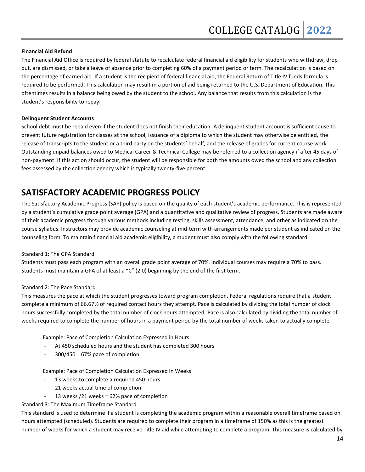#### **Financial Aid Refund**

The Financial Aid Office is required by federal statute to recalculate federal financial aid eligibility for students who withdraw, drop out, are dismissed, or take a leave of absence prior to completing 60% of a payment period or term. The recalculation is based on the percentage of earned aid. If a student is the recipient of federal financial aid, the Federal Return of Title IV funds formula is required to be performed. This calculation may result in a portion of aid being returned to the U.S. Department of Education. This oftentimes results in a balance being owed by the student to the school. Any balance that results from this calculation is the student's responsibility to repay.

#### **Delinquent Student Accounts**

School debt must be repaid even if the student does not finish their education. A delinquent student account is sufficient cause to prevent future registration for classes at the school, issuance of a diploma to which the student may otherwise be entitled, the release of transcripts to the student or a third party on the students' behalf, and the release of grades for current course work. Outstanding unpaid balances owed to Medical Career & Technical College may be referred to a collection agency if after 45 days of non-payment. If this action should occur, the student will be responsible for both the amounts owed the school and any collection fees assessed by the collection agency which is typically twenty-five percent.

## **SATISFACTORY ACADEMIC PROGRESS POLICY**

The Satisfactory Academic Progress (SAP) policy is based on the quality of each student's academic performance. This is represented by a student's cumulative grade point average (GPA) and a quantitative and qualitative review of progress. Students are made aware of their academic progress through various methods including testing, skills assessment, attendance, and other as indicated on the course syllabus. Instructors may provide academic counseling at mid-term with arrangements made per student as indicated on the counseling form. To maintain financial aid academic eligibility, a student must also comply with the following standard.

#### Standard 1: The GPA Standard

Students must pass each program with an overall grade point average of 70%. Individual courses may require a 70% to pass. Students must maintain a GPA of at least a "C" (2.0) beginning by the end of the first term.

#### Standard 2: The Pace Standard

This measures the pace at which the student progresses toward program completion. Federal regulations require that a student complete a minimum of 66.67% of required contact hours they attempt. Pace is calculated by dividing the total number of clock hours successfully completed by the total number of clock hours attempted. Pace is also calculated by dividing the total number of weeks required to complete the number of hours in a payment period by the total number of weeks taken to actually complete.

Example: Pace of Completion Calculation Expressed in Hours

- At 450 scheduled hours and the student has completed 300 hours
- $300/450 = 67%$  pace of completion

Example: Pace of Completion Calculation Expressed in Weeks

- 13 weeks to complete a required 450 hours
- 21 weeks actual time of completion
- 13 weeks / 21 weeks =  $62\%$  pace of completion

Standard 3: The Maximum Timeframe Standard

This standard is used to determine if a student is completing the academic program within a reasonable overall timeframe based on hours attempted (scheduled). Students are required to complete their program in a timeframe of 150% as this is the greatest number of weeks for which a student may receive Title IV aid while attempting to complete a program. This measure is calculated by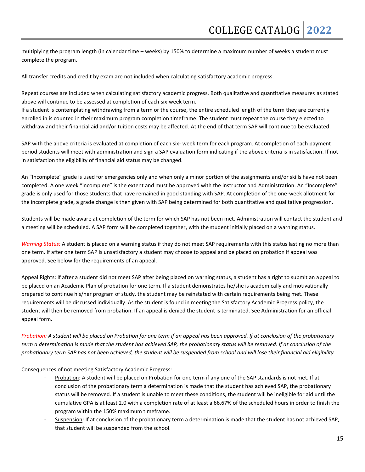multiplying the program length (in calendar time – weeks) by 150% to determine a maximum number of weeks a student must complete the program.

All transfer credits and credit by exam are not included when calculating satisfactory academic progress.

Repeat courses are included when calculating satisfactory academic progress. Both qualitative and quantitative measures as stated above will continue to be assessed at completion of each six-week term.

If a student is contemplating withdrawing from a term or the course, the entire scheduled length of the term they are currently enrolled in is counted in their maximum program completion timeframe. The student must repeat the course they elected to withdraw and their financial aid and/or tuition costs may be affected. At the end of that term SAP will continue to be evaluated.

SAP with the above criteria is evaluated at completion of each six- week term for each program. At completion of each payment period students will meet with administration and sign a SAP evaluation form indicating if the above criteria is in satisfaction. If not in satisfaction the eligibility of financial aid status may be changed.

An "Incomplete" grade is used for emergencies only and when only a minor portion of the assignments and/or skills have not been completed. A one week "incomplete" is the extent and must be approved with the instructor and Administration. An "Incomplete" grade is only used for those students that have remained in good standing with SAP. At completion of the one-week allotment for the incomplete grade, a grade change is then given with SAP being determined for both quantitative and qualitative progression.

Students will be made aware at completion of the term for which SAP has not been met. Administration will contact the student and a meeting will be scheduled. A SAP form will be completed together, with the student initially placed on a warning status.

*Warning Status:* A student is placed on a warning status if they do not meet SAP requirements with this status lasting no more than one term. If after one term SAP is unsatisfactory a student may choose to appeal and be placed on probation if appeal was approved. See below for the requirements of an appeal.

Appeal Rights: If after a student did not meet SAP after being placed on warning status, a student has a right to submit an appeal to be placed on an Academic Plan of probation for one term. If a student demonstrates he/she is academically and motivationally prepared to continue his/her program of study, the student may be reinstated with certain requirements being met. These requirements will be discussed individually. As the student is found in meeting the Satisfactory Academic Progress policy, the student will then be removed from probation. If an appeal is denied the student is terminated. See Administration for an official appeal form.

*Probation: A student will be placed on Probation for one term if an appeal has been approved. If at conclusion of the probationary term a determination is made that the student has achieved SAP, the probationary status will be removed. If at conclusion of the probationary term SAP has not been achieved, the student will be suspended from school and will lose their financial aid eligibility.*

Consequences of not meeting Satisfactory Academic Progress:

- Probation: A student will be placed on Probation for one term if any one of the SAP standards is not met. If at conclusion of the probationary term a determination is made that the student has achieved SAP, the probationary status will be removed. If a student is unable to meet these conditions, the student will be ineligible for aid until the cumulative GPA is at least 2.0 with a completion rate of at least a 66.67% of the scheduled hours in order to finish the program within the 150% maximum timeframe.
- Suspension: If at conclusion of the probationary term a determination is made that the student has not achieved SAP, that student will be suspended from the school.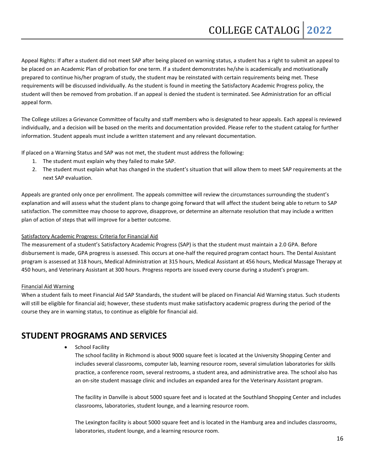Appeal Rights: If after a student did not meet SAP after being placed on warning status, a student has a right to submit an appeal to be placed on an Academic Plan of probation for one term. If a student demonstrates he/she is academically and motivationally prepared to continue his/her program of study, the student may be reinstated with certain requirements being met. These requirements will be discussed individually. As the student is found in meeting the Satisfactory Academic Progress policy, the student will then be removed from probation. If an appeal is denied the student is terminated. See Administration for an official appeal form.

The College utilizes a Grievance Committee of faculty and staff members who is designated to hear appeals. Each appeal is reviewed individually, and a decision will be based on the merits and documentation provided. Please refer to the student catalog for further information. Student appeals must include a written statement and any relevant documentation.

If placed on a Warning Status and SAP was not met, the student must address the following:

- 1. The student must explain why they failed to make SAP.
- 2. The student must explain what has changed in the student's situation that will allow them to meet SAP requirements at the next SAP evaluation.

Appeals are granted only once per enrollment. The appeals committee will review the circumstances surrounding the student's explanation and will assess what the student plans to change going forward that will affect the student being able to return to SAP satisfaction. The committee may choose to approve, disapprove, or determine an alternate resolution that may include a written plan of action of steps that will improve for a better outcome.

#### Satisfactory Academic Progress: Criteria for Financial Aid

The measurement of a student's Satisfactory Academic Progress (SAP) is that the student must maintain a 2.0 GPA. Before disbursement is made, GPA progress is assessed. This occurs at one-half the required program contact hours. The Dental Assistant program is assessed at 318 hours, Medical Administration at 315 hours, Medical Assistant at 456 hours, Medical Massage Therapy at 450 hours, and Veterinary Assistant at 300 hours. Progress reports are issued every course during a student's program.

#### Financial Aid Warning

When a student fails to meet Financial Aid SAP Standards, the student will be placed on Financial Aid Warning status. Such students will still be eligible for financial aid; however, these students must make satisfactory academic progress during the period of the course they are in warning status, to continue as eligible for financial aid.

## **STUDENT PROGRAMS AND SERVICES**

School Facility

The school facility in Richmond is about 9000 square feet is located at the University Shopping Center and includes several classrooms, computer lab, learning resource room, several simulation laboratories for skills practice, a conference room, several restrooms, a student area, and administrative area. The school also has an on-site student massage clinic and includes an expanded area for the Veterinary Assistant program.

The facility in Danville is about 5000 square feet and is located at the Southland Shopping Center and includes classrooms, laboratories, student lounge, and a learning resource room.

The Lexington facility is about 5000 square feet and is located in the Hamburg area and includes classrooms, laboratories, student lounge, and a learning resource room.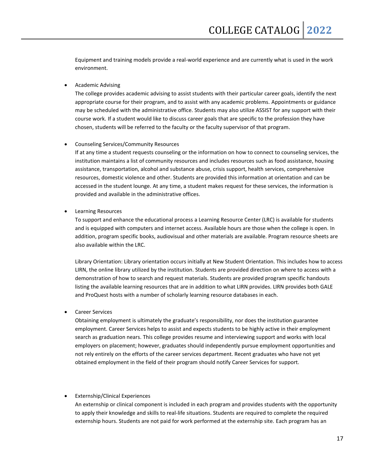Equipment and training models provide a real-world experience and are currently what is used in the work environment.

#### • Academic Advising

The college provides academic advising to assist students with their particular career goals, identify the next appropriate course for their program, and to assist with any academic problems. Appointments or guidance may be scheduled with the administrative office. Students may also utilize ASSIST for any support with their course work. If a student would like to discuss career goals that are specific to the profession they have chosen, students will be referred to the faculty or the faculty supervisor of that program.

#### • Counseling Services/Community Resources

If at any time a student requests counseling or the information on how to connect to counseling services, the institution maintains a list of community resources and includes resources such as food assistance, housing assistance, transportation, alcohol and substance abuse, crisis support, health services, comprehensive resources, domestic violence and other. Students are provided this information at orientation and can be accessed in the student lounge. At any time, a student makes request for these services, the information is provided and available in the administrative offices.

#### • Learning Resources

To support and enhance the educational process a Learning Resource Center (LRC) is available for students and is equipped with computers and internet access. Available hours are those when the college is open. In addition, program specific books, audiovisual and other materials are available. Program resource sheets are also available within the LRC.

Library Orientation: Library orientation occurs initially at New Student Orientation. This includes how to access LIRN, the online library utilized by the institution. Students are provided direction on where to access with a demonstration of how to search and request materials. Students are provided program specific handouts listing the available learning resources that are in addition to what LIRN provides. LIRN provides both GALE and ProQuest hosts with a number of scholarly learning resource databases in each.

#### • Career Services

Obtaining employment is ultimately the graduate's responsibility, nor does the institution guarantee employment. Career Services helps to assist and expects students to be highly active in their employment search as graduation nears. This college provides resume and interviewing support and works with local employers on placement; however, graduates should independently pursue employment opportunities and not rely entirely on the efforts of the career services department. Recent graduates who have not yet obtained employment in the field of their program should notify Career Services for support.

#### • Externship/Clinical Experiences

An externship or clinical component is included in each program and provides students with the opportunity to apply their knowledge and skills to real-life situations. Students are required to complete the required externship hours. Students are not paid for work performed at the externship site. Each program has an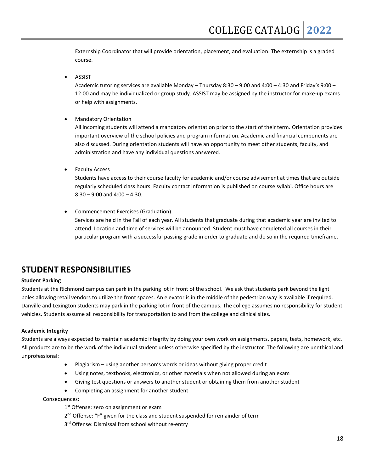Externship Coordinator that will provide orientation, placement, and evaluation. The externship is a graded course.

• ASSIST

Academic tutoring services are available Monday – Thursday 8:30 – 9:00 and 4:00 – 4:30 and Friday's 9:00 – 12:00 and may be individualized or group study. ASSIST may be assigned by the instructor for make-up exams or help with assignments.

• Mandatory Orientation

All incoming students will attend a mandatory orientation prior to the start of their term. Orientation provides important overview of the school policies and program information. Academic and financial components are also discussed. During orientation students will have an opportunity to meet other students, faculty, and administration and have any individual questions answered.

• Faculty Access

Students have access to their course faculty for academic and/or course advisement at times that are outside regularly scheduled class hours. Faculty contact information is published on course syllabi. Office hours are  $8:30 - 9:00$  and  $4:00 - 4:30$ .

• Commencement Exercises (Graduation) Services are held in the Fall of each year. All students that graduate during that academic year are invited to attend. Location and time of services will be announced. Student must have completed all courses in their particular program with a successful passing grade in order to graduate and do so in the required timeframe.

## **STUDENT RESPONSIBILITIES**

#### **Student Parking**

Students at the Richmond campus can park in the parking lot in front of the school. We ask that students park beyond the light poles allowing retail vendors to utilize the front spaces. An elevator is in the middle of the pedestrian way is available if required. Danville and Lexington students may park in the parking lot in front of the campus. The college assumes no responsibility for student vehicles. Students assume all responsibility for transportation to and from the college and clinical sites.

#### **Academic Integrity**

Students are always expected to maintain academic integrity by doing your own work on assignments, papers, tests, homework, etc. All products are to be the work of the individual student unless otherwise specified by the instructor. The following are unethical and unprofessional:

- Plagiarism using another person's words or ideas without giving proper credit
- Using notes, textbooks, electronics, or other materials when not allowed during an exam
- Giving test questions or answers to another student or obtaining them from another student
- Completing an assignment for another student

Consequences:

1<sup>st</sup> Offense: zero on assignment or exam

- 2<sup>nd</sup> Offense: "F" given for the class and student suspended for remainder of term
- 3<sup>rd</sup> Offense: Dismissal from school without re-entry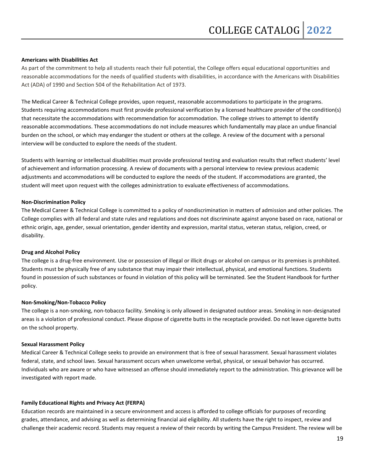#### **Americans with Disabilities Act**

As part of the commitment to help all students reach their full potential, the College offers equal educational opportunities and reasonable accommodations for the needs of qualified students with disabilities, in accordance with the Americans with Disabilities Act (ADA) of 1990 and Section 504 of the Rehabilitation Act of 1973.

The Medical Career & Technical College provides, upon request, reasonable accommodations to participate in the programs. Students requiring accommodations must first provide professional verification by a licensed healthcare provider of the condition(s) that necessitate the accommodations with recommendation for accommodation. The college strives to attempt to identify reasonable accommodations. These accommodations do not include measures which fundamentally may place an undue financial burden on the school, or which may endanger the student or others at the college. A review of the document with a personal interview will be conducted to explore the needs of the student.

Students with learning or intellectual disabilities must provide professional testing and evaluation results that reflect students' level of achievement and information processing. A review of documents with a personal interview to review previous academic adjustments and accommodations will be conducted to explore the needs of the student. If accommodations are granted, the student will meet upon request with the colleges administration to evaluate effectiveness of accommodations.

#### **Non-Discrimination Policy**

The Medical Career & Technical College is committed to a policy of nondiscrimination in matters of admission and other policies. The College complies with all federal and state rules and regulations and does not discriminate against anyone based on race, national or ethnic origin, age, gender, sexual orientation, gender identity and expression, marital status, veteran status, religion, creed, or disability.

#### **Drug and Alcohol Policy**

The college is a drug-free environment. Use or possession of illegal or illicit drugs or alcohol on campus or its premises is prohibited. Students must be physically free of any substance that may impair their intellectual, physical, and emotional functions. Students found in possession of such substances or found in violation of this policy will be terminated. See the Student Handbook for further policy.

#### **Non-Smoking/Non-Tobacco Policy**

The college is a non-smoking, non-tobacco facility. Smoking is only allowed in designated outdoor areas. Smoking in non-designated areas is a violation of professional conduct. Please dispose of cigarette butts in the receptacle provided. Do not leave cigarette butts on the school property.

#### **Sexual Harassment Policy**

Medical Career & Technical College seeks to provide an environment that is free of sexual harassment. Sexual harassment violates federal, state, and school laws. Sexual harassment occurs when unwelcome verbal, physical, or sexual behavior has occurred. Individuals who are aware or who have witnessed an offense should immediately report to the administration. This grievance will be investigated with report made.

#### **Family Educational Rights and Privacy Act (FERPA)**

Education records are maintained in a secure environment and access is afforded to college officials for purposes of recording grades, attendance, and advising as well as determining financial aid eligibility. All students have the right to inspect, review and challenge their academic record. Students may request a review of their records by writing the Campus President. The review will be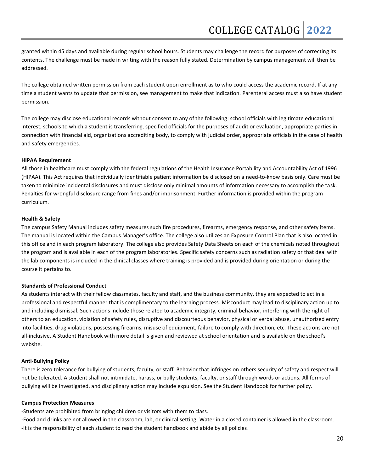granted within 45 days and available during regular school hours. Students may challenge the record for purposes of correcting its contents. The challenge must be made in writing with the reason fully stated. Determination by campus management will then be addressed.

The college obtained written permission from each student upon enrollment as to who could access the academic record. If at any time a student wants to update that permission, see management to make that indication. Parenteral access must also have student permission.

The college may disclose educational records without consent to any of the following: school officials with legitimate educational interest, schools to which a student is transferring, specified officials for the purposes of audit or evaluation, appropriate parties in connection with financial aid, organizations accrediting body, to comply with judicial order, appropriate officials in the case of health and safety emergencies.

#### **HIPAA Requirement**

All those in healthcare must comply with the federal regulations of the Health Insurance Portability and Accountability Act of 1996 (HIPAA). This Act requires that individually identifiable patient information be disclosed on a need-to-know basis only. Care must be taken to minimize incidental disclosures and must disclose only minimal amounts of information necessary to accomplish the task. Penalties for wrongful disclosure range from fines and/or imprisonment. Further information is provided within the program curriculum.

#### **Health & Safety**

The campus Safety Manual includes safety measures such fire procedures, firearms, emergency response, and other safety items. The manual is located within the Campus Manager's office. The college also utilizes an Exposure Control Plan that is also located in this office and in each program laboratory. The college also provides Safety Data Sheets on each of the chemicals noted throughout the program and is available in each of the program laboratories. Specific safety concerns such as radiation safety or that deal with the lab components is included in the clinical classes where training is provided and is provided during orientation or during the course it pertains to.

#### **Standards of Professional Conduct**

As students interact with their fellow classmates, faculty and staff, and the business community, they are expected to act in a professional and respectful manner that is complimentary to the learning process. Misconduct may lead to disciplinary action up to and including dismissal. Such actions include those related to academic integrity, criminal behavior, interfering with the right of others to an education, violation of safety rules, disruptive and discourteous behavior, physical or verbal abuse, unauthorized entry into facilities, drug violations, possessing firearms, misuse of equipment, failure to comply with direction, etc. These actions are not all-inclusive. A Student Handbook with more detail is given and reviewed at school orientation and is available on the school's website.

#### **Anti-Bullying Policy**

There is zero tolerance for bullying of students, faculty, or staff. Behavior that infringes on others security of safety and respect will not be tolerated. A student shall not intimidate, harass, or bully students, faculty, or staff through words or actions. All forms of bullying will be investigated, and disciplinary action may include expulsion. See the Student Handbook for further policy.

#### **Campus Protection Measures**

-Students are prohibited from bringing children or visitors with them to class.

-Food and drinks are not allowed in the classroom, lab, or clinical setting. Water in a closed container is allowed in the classroom. -It is the responsibility of each student to read the student handbook and abide by all policies.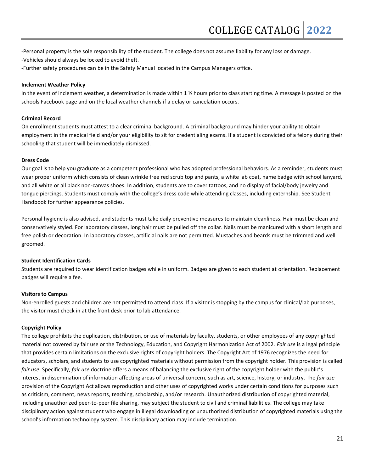- -Personal property is the sole responsibility of the student. The college does not assume liability for any loss or damage.
- -Vehicles should always be locked to avoid theft.
- -Further safety procedures can be in the Safety Manual located in the Campus Managers office.

#### **Inclement Weather Policy**

In the event of inclement weather, a determination is made within 1 % hours prior to class starting time. A message is posted on the schools Facebook page and on the local weather channels if a delay or cancelation occurs.

#### **Criminal Record**

On enrollment students must attest to a clear criminal background. A criminal background may hinder your ability to obtain employment in the medical field and/or your eligibility to sit for credentialing exams. If a student is convicted of a felony during their schooling that student will be immediately dismissed.

#### **Dress Code**

Our goal is to help you graduate as a competent professional who has adopted professional behaviors. As a reminder, students must wear proper uniform which consists of clean wrinkle free red scrub top and pants, a white lab coat, name badge with school lanyard, and all white or all black non-canvas shoes. In addition, students are to cover tattoos, and no display of facial/body jewelry and tongue piercings. Students must comply with the college's dress code while attending classes, including externship. See Student Handbook for further appearance policies.

Personal hygiene is also advised, and students must take daily preventive measures to maintain cleanliness. Hair must be clean and conservatively styled. For laboratory classes, long hair must be pulled off the collar. Nails must be manicured with a short length and free polish or decoration. In laboratory classes, artificial nails are not permitted. Mustaches and beards must be trimmed and well groomed.

#### **Student Identification Cards**

Students are required to wear identification badges while in uniform. Badges are given to each student at orientation. Replacement badges will require a fee.

#### **Visitors to Campus**

Non-enrolled guests and children are not permitted to attend class. If a visitor is stopping by the campus for clinical/lab purposes, the visitor must check in at the front desk prior to lab attendance.

#### **Copyright Policy**

The college prohibits the duplication, distribution, or use of materials by faculty, students, or other employees of any copyrighted material not covered by fair use or the Technology, Education, and Copyright Harmonization Act of 2002. *Fair use* is a legal principle that provides certain limitations on the exclusive rights of copyright holders. The Copyright Act of 1976 recognizes the need for educators, scholars, and students to use copyrighted materials without permission from the copyright holder. This provision is called *fair use*. Specifically, *fair use* doctrine offers a means of balancing the exclusive right of the copyright holder with the public's interest in dissemination of information affecting areas of universal concern, such as art, science, history, or industry. The *fair use* provision of the Copyright Act allows reproduction and other uses of copyrighted works under certain conditions for purposes such as criticism, comment, news reports, teaching, scholarship, and/or research. Unauthorized distribution of copyrighted material, including unauthorized peer-to-peer file sharing, may subject the student to civil and criminal liabilities. The college may take disciplinary action against student who engage in illegal downloading or unauthorized distribution of copyrighted materials using the school's information technology system. This disciplinary action may include termination.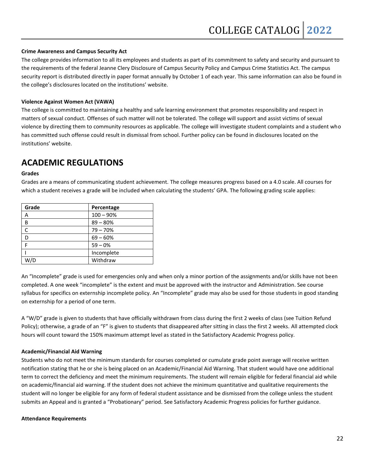#### **Crime Awareness and Campus Security Act**

The college provides information to all its employees and students as part of its commitment to safety and security and pursuant to the requirements of the federal Jeanne Clery Disclosure of Campus Security Policy and Campus Crime Statistics Act. The campus security report is distributed directly in paper format annually by October 1 of each year. This same information can also be found in the college's disclosures located on the institutions' website.

#### **Violence Against Women Act (VAWA)**

The college is committed to maintaining a healthy and safe learning environment that promotes responsibility and respect in matters of sexual conduct. Offenses of such matter will not be tolerated. The college will support and assist victims of sexual violence by directing them to community resources as applicable. The college will investigate student complaints and a student who has committed such offense could result in dismissal from school. Further policy can be found in disclosures located on the institutions' website.

### **ACADEMIC REGULATIONS**

#### **Grades**

Grades are a means of communicating student achievement. The college measures progress based on a 4.0 scale. All courses for which a student receives a grade will be included when calculating the students' GPA. The following grading scale applies:

| Grade | Percentage  |
|-------|-------------|
| А     | $100 - 90%$ |
| B     | $89 - 80%$  |
|       | $79 - 70%$  |
| D     | $69 - 60%$  |
|       | $59 - 0%$   |
|       | Incomplete  |
| W/D   | Withdraw    |

An "Incomplete" grade is used for emergencies only and when only a minor portion of the assignments and/or skills have not been completed. A one week "incomplete" is the extent and must be approved with the instructor and Administration. See course syllabus for specifics on externship incomplete policy. An "Incomplete" grade may also be used for those students in good standing on externship for a period of one term.

A "W/D" grade is given to students that have officially withdrawn from class during the first 2 weeks of class (see Tuition Refund Policy); otherwise, a grade of an "F" is given to students that disappeared after sitting in class the first 2 weeks. All attempted clock hours will count toward the 150% maximum attempt level as stated in the Satisfactory Academic Progress policy.

#### **Academic/Financial Aid Warning**

Students who do not meet the minimum standards for courses completed or cumulate grade point average will receive written notification stating that he or she is being placed on an Academic/Financial Aid Warning. That student would have one additional term to correct the deficiency and meet the minimum requirements. The student will remain eligible for federal financial aid while on academic/financial aid warning. If the student does not achieve the minimum quantitative and qualitative requirements the student will no longer be eligible for any form of federal student assistance and be dismissed from the college unless the student submits an Appeal and is granted a "Probationary" period. See Satisfactory Academic Progress policies for further guidance.

#### **Attendance Requirements**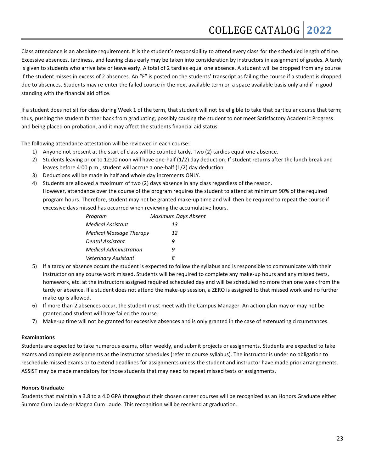Class attendance is an absolute requirement. It is the student's responsibility to attend every class for the scheduled length of time. Excessive absences, tardiness, and leaving class early may be taken into consideration by instructors in assignment of grades. A tardy is given to students who arrive late or leave early. A total of 2 tardies equal one absence. A student will be dropped from any course if the student misses in excess of 2 absences. An "F" is posted on the students' transcript as failing the course if a student is dropped due to absences. Students may re-enter the failed course in the next available term on a space available basis only and if in good standing with the financial aid office.

If a student does not sit for class during Week 1 of the term, that student will not be eligible to take that particular course that term; thus, pushing the student farther back from graduating, possibly causing the student to not meet Satisfactory Academic Progress and being placed on probation, and it may affect the students financial aid status.

The following attendance attestation will be reviewed in each course:

- 1) Anyone not present at the start of class will be counted tardy. Two (2) tardies equal one absence.
- 2) Students leaving prior to 12:00 noon will have one-half (1/2) day deduction. If student returns after the lunch break and leaves before 4:00 p.m., student will accrue a one-half (1/2) day deduction.
- 3) Deductions will be made in half and whole day increments ONLY.
- 4) Students are allowed a maximum of two (2) days absence in any class regardless of the reason. However, attendance over the course of the program requires the student to attend at minimum 90% of the required program hours. Therefore, student may not be granted make-up time and will then be required to repeat the course if excessive days missed has occurred when reviewing the accumulative hours.

| Program                        | Maximum Days Absent |
|--------------------------------|---------------------|
| <b>Medical Assistant</b>       | 13                  |
| <b>Medical Massage Therapy</b> | 12                  |
| Dental Assistant               | q                   |
| <b>Medical Administration</b>  | q                   |
| <b>Veterinary Assistant</b>    | x                   |

- 5) If a tardy or absence occurs the student is expected to follow the syllabus and is responsible to communicate with their instructor on any course work missed. Students will be required to complete any make-up hours and any missed tests, homework, etc. at the instructors assigned required scheduled day and will be scheduled no more than one week from the tardy or absence. If a student does not attend the make-up session, a ZERO is assigned to that missed work and no further make-up is allowed.
- 6) If more than 2 absences occur, the student must meet with the Campus Manager. An action plan may or may not be granted and student will have failed the course.
- 7) Make-up time will not be granted for excessive absences and is only granted in the case of extenuating circumstances.

#### **Examinations**

Students are expected to take numerous exams, often weekly, and submit projects or assignments. Students are expected to take exams and complete assignments as the instructor schedules (refer to course syllabus). The instructor is under no obligation to reschedule missed exams or to extend deadlines for assignments unless the student and instructor have made prior arrangements. ASSIST may be made mandatory for those students that may need to repeat missed tests or assignments.

#### **Honors Graduate**

Students that maintain a 3.8 to a 4.0 GPA throughout their chosen career courses will be recognized as an Honors Graduate either Summa Cum Laude or Magna Cum Laude. This recognition will be received at graduation.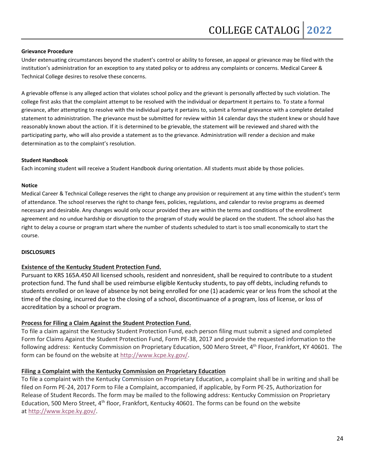#### **Grievance Procedure**

Under extenuating circumstances beyond the student's control or ability to foresee, an appeal or grievance may be filed with the institution's administration for an exception to any stated policy or to address any complaints or concerns. Medical Career & Technical College desires to resolve these concerns.

A grievable offense is any alleged action that violates school policy and the grievant is personally affected by such violation. The college first asks that the complaint attempt to be resolved with the individual or department it pertains to. To state a formal grievance, after attempting to resolve with the individual party it pertains to, submit a formal grievance with a complete detailed statement to administration. The grievance must be submitted for review within 14 calendar days the student knew or should have reasonably known about the action. If it is determined to be grievable, the statement will be reviewed and shared with the participating party, who will also provide a statement as to the grievance. Administration will render a decision and make determination as to the complaint's resolution.

#### **Student Handbook**

Each incoming student will receive a Student Handbook during orientation. All students must abide by those policies.

#### **Notice**

Medical Career & Technical College reserves the right to change any provision or requirement at any time within the student's term of attendance. The school reserves the right to change fees, policies, regulations, and calendar to revise programs as deemed necessary and desirable. Any changes would only occur provided they are within the terms and conditions of the enrollment agreement and no undue hardship or disruption to the program of study would be placed on the student. The school also has the right to delay a course or program start where the number of students scheduled to start is too small economically to start the course.

#### **DISCLOSURES**

#### **Existence of the Kentucky Student Protection Fund.**

Pursuant to KRS 165A.450 All licensed schools, resident and nonresident, shall be required to contribute to a student protection fund. The fund shall be used reimburse eligible Kentucky students, to pay off debts, including refunds to students enrolled or on leave of absence by not being enrolled for one (1) academic year or less from the school at the time of the closing, incurred due to the closing of a school, discontinuance of a program, loss of license, or loss of accreditation by a school or program.

#### **Process for Filing a Claim Against the Student Protection Fund.**

To file a claim against the Kentucky Student Protection Fund, each person filing must submit a signed and completed Form for Claims Against the Student Protection Fund, Form PE-38, 2017 and provide the requested information to the following address: Kentucky Commission on Proprietary Education, 500 Mero Street, 4<sup>th</sup> Floor, Frankfort, KY 40601. The form can be found on the website at [http://www.kcpe.ky.gov/.](http://www.kcpe.ky.gov/)

#### **Filing a Complaint with the Kentucky Commission on Proprietary Education**

To file a complaint with the Kentucky Commission on Proprietary Education, a complaint shall be in writing and shall be filed on Form PE-24, 2017 Form to File a Complaint, accompanied, if applicable, by Form PE-25, Authorization for Release of Student Records. The form may be mailed to the following address: Kentucky Commission on Proprietary Education, 500 Mero Street, 4<sup>th</sup> floor, Frankfort, Kentucky 40601. The forms can be found on the website at [http://www.kcpe.ky.gov/.](http://www.kcpe.ky.gov/)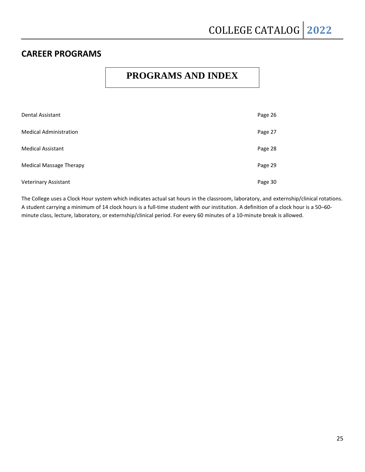## **CAREER PROGRAMS**

## **PROGRAMS AND INDEX**

| <b>Dental Assistant</b>        | Page 26 |
|--------------------------------|---------|
| <b>Medical Administration</b>  | Page 27 |
| <b>Medical Assistant</b>       | Page 28 |
| <b>Medical Massage Therapy</b> | Page 29 |
| <b>Veterinary Assistant</b>    | Page 30 |

The College uses a Clock Hour system which indicates actual sat hours in the classroom, laboratory, and externship/clinical rotations. A student carrying a minimum of 14 clock hours is a full-time student with our institution. A definition of a clock hour is a 50–60 minute class, lecture, laboratory, or externship/clinical period. For every 60 minutes of a 10-minute break is allowed.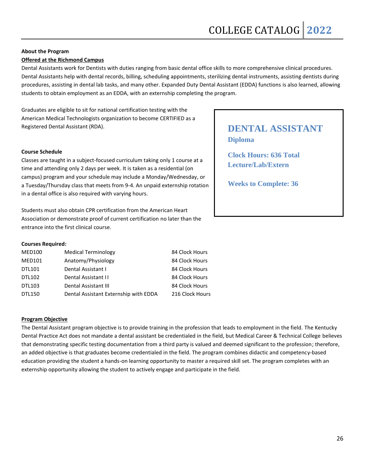### **Offered at the Richmond Campus**

Dental Assistants work for Dentists with duties ranging from basic dental office skills to more comprehensive clinical procedures. Dental Assistants help with dental records, billing, scheduling appointments, sterilizing dental instruments, assisting dentists during procedures, assisting in dental lab tasks, and many other. Expanded Duty Dental Assistant (EDDA) functions is also learned, allowing students to obtain employment as an EDDA, with an externship completing the program.

Graduates are eligible to sit for national certification testing with the American Medical Technologists organization to become CERTIFIED as a Registered Dental Assistant (RDA).

### **Course Schedule**

Classes are taught in a subject-focused curriculum taking only 1 course at a time and attending only 2 days per week. It is taken as a residential (on campus) program and your schedule may include a Monday/Wednesday, or a Tuesday/Thursday class that meets from 9-4. An unpaid externship rotation in a dental office is also required with varying hours.

Students must also obtain CPR certification from the American Heart Association or demonstrate proof of current certification no later than the entrance into the first clinical course.

### **Courses Required:**

| <b>MED100</b> | <b>Medical Terminology</b>            | 84 Clock Hours  |
|---------------|---------------------------------------|-----------------|
| <b>MED101</b> | Anatomy/Physiology                    | 84 Clock Hours  |
| DTL101        | Dental Assistant I                    | 84 Clock Hours  |
| DTL102        | Dental Assistant II                   | 84 Clock Hours  |
| DTL103        | Dental Assistant III                  | 84 Clock Hours  |
| <b>DTL150</b> | Dental Assistant Externship with EDDA | 216 Clock Hours |

### **Program Objective**

The Dental Assistant program objective is to provide training in the profession that leads to employment in the field. The Kentucky Dental Practice Act does not mandate a dental assistant be credentialed in the field, but Medical Career & Technical College believes that demonstrating specific testing documentation from a third party is valued and deemed significant to the profession; therefore, an added objective is that graduates become credentialed in the field. The program combines didactic and competency-based education providing the student a hands-on learning opportunity to master a required skill set. The program completes with an externship opportunity allowing the student to actively engage and participate in the field.

## **DENTAL ASSISTANT Diploma**

**Clock Hours: 636 Total Lecture/Lab/Extern**

**Weeks to Complete: 36**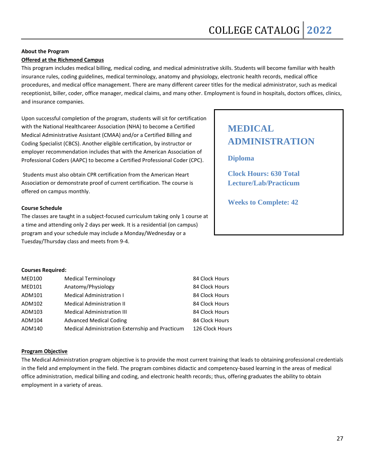#### **Offered at the Richmond Campus**

This program includes medical billing, medical coding, and medical administrative skills. Students will become familiar with health insurance rules, coding guidelines, medical terminology, anatomy and physiology, electronic health records, medical office procedures, and medical office management. There are many different career titles for the medical administrator, such as medical receptionist, biller, coder, office manager, medical claims, and many other. Employment is found in hospitals, doctors offices, clinics, and insurance companies.

Upon successful completion of the program, students will sit for certification with the National Healthcareer Association (NHA) to become a Certified Medical Administrative Assistant (CMAA) and/or a Certified Billing and Coding Specialist (CBCS). Another eligible certification, by instructor or employer recommendation includes that with the American Association of Professional Coders (AAPC) to become a Certified Professional Coder (CPC).

Students must also obtain CPR certification from the American Heart Association or demonstrate proof of current certification. The course is offered on campus monthly.

#### **Course Schedule**

The classes are taught in a subject-focused curriculum taking only 1 course at a time and attending only 2 days per week. It is a residential (on campus) program and your schedule may include a Monday/Wednesday or a Tuesday/Thursday class and meets from 9-4.

# **MEDICAL ADMINISTRATION**

**Diploma**

**Clock Hours: 630 Total Lecture/Lab/Practicum**

**Weeks to Complete: 42**

#### **Courses Required:**

| <b>MED100</b> | <b>Medical Terminology</b>                      | 84 Clock Hours  |
|---------------|-------------------------------------------------|-----------------|
| <b>MED101</b> | Anatomy/Physiology                              | 84 Clock Hours  |
| ADM101        | <b>Medical Administration I</b>                 | 84 Clock Hours  |
| ADM102        | <b>Medical Administration II</b>                | 84 Clock Hours  |
| ADM103        | <b>Medical Administration III</b>               | 84 Clock Hours  |
| ADM104        | <b>Advanced Medical Coding</b>                  | 84 Clock Hours  |
| ADM140        | Medical Administration Externship and Practicum | 126 Clock Hours |

#### **Program Objective**

The Medical Administration program objective is to provide the most current training that leads to obtaining professional credentials in the field and employment in the field. The program combines didactic and competency-based learning in the areas of medical office administration, medical billing and coding, and electronic health records; thus, offering graduates the ability to obtain employment in a variety of areas.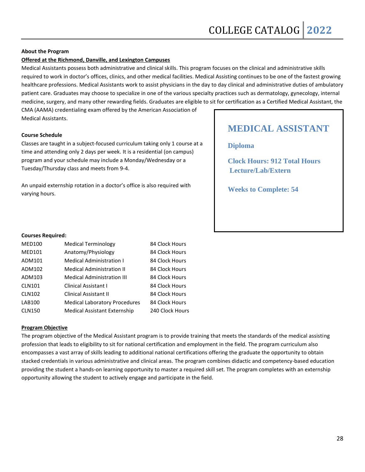#### **Offered at the Richmond, Danville, and Lexington Campuses**

Medical Assistants possess both administrative and clinical skills. This program focuses on the clinical and administrative skills required to work in doctor's offices, clinics, and other medical facilities. Medical Assisting continues to be one of the fastest growing healthcare professions. Medical Assistants work to assist physicians in the day to day clinical and administrative duties of ambulatory patient care. Graduates may choose to specialize in one of the various specialty practices such as dermatology, gynecology, internal medicine, surgery, and many other rewarding fields. Graduates are eligible to sit for certification as a Certified Medical Assistant, the

CMA (AAMA) credentialing exam offered by the American Association of Medical Assistants.

#### **Course Schedule**

Classes are taught in a subject-focused curriculum taking only 1 course at a time and attending only 2 days per week. It is a residential (on campus) program and your schedule may include a Monday/Wednesday or a Tuesday/Thursday class and meets from 9-4.

An unpaid externship rotation in a doctor's office is also required with varying hours.

## **MEDICAL ASSISTANT**

**Diploma**

**Clock Hours: 912 Total Hours Lecture/Lab/Extern**

**Weeks to Complete: 54**

#### **Courses Required:**

| <b>MED100</b> | <b>Medical Terminology</b>           | 84 Clock Hours  |
|---------------|--------------------------------------|-----------------|
| <b>MED101</b> | Anatomy/Physiology                   | 84 Clock Hours  |
| ADM101        | <b>Medical Administration I</b>      | 84 Clock Hours  |
| ADM102        | <b>Medical Administration II</b>     | 84 Clock Hours  |
| ADM103        | <b>Medical Administration III</b>    | 84 Clock Hours  |
| <b>CLN101</b> | <b>Clinical Assistant I</b>          | 84 Clock Hours  |
| <b>CLN102</b> | <b>Clinical Assistant II</b>         | 84 Clock Hours  |
| <b>LAB100</b> | <b>Medical Laboratory Procedures</b> | 84 Clock Hours  |
| <b>CLN150</b> | <b>Medical Assistant Externship</b>  | 240 Clock Hours |

#### **Program Objective**

The program objective of the Medical Assistant program is to provide training that meets the standards of the medical assisting profession that leads to eligibility to sit for national certification and employment in the field. The program curriculum also encompasses a vast array of skills leading to additional national certifications offering the graduate the opportunity to obtain stacked credentials in various administrative and clinical areas. The program combines didactic and competency-based education providing the student a hands-on learning opportunity to master a required skill set. The program completes with an externship opportunity allowing the student to actively engage and participate in the field.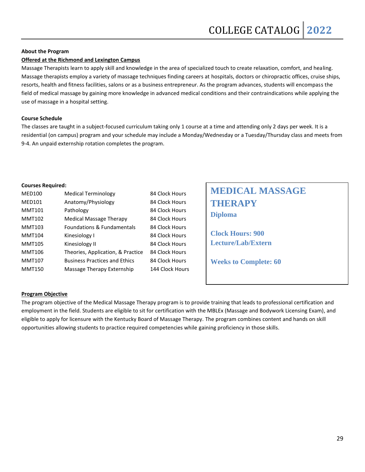#### **Offered at the Richmond and Lexington Campus**

Massage Therapists learn to apply skill and knowledge in the area of specialized touch to create relaxation, comfort, and healing. Massage therapists employ a variety of massage techniques finding careers at hospitals, doctors or chiropractic offices, cruise ships, resorts, health and fitness facilities, salons or as a business entrepreneur. As the program advances, students will encompass the field of medical massage by gaining more knowledge in advanced medical conditions and their contraindications while applying the use of massage in a hospital setting.

#### **Course Schedule**

The classes are taught in a subject-focused curriculum taking only 1 course at a time and attending only 2 days per week. It is a residential (on campus) program and your schedule may include a Monday/Wednesday or a Tuesday/Thursday class and meets from 9-4. An unpaid externship rotation completes the program.

#### **Courses Required:**

| <b>MED100</b> | <b>Medical Terminology</b>            | 84 Clock Hours  |
|---------------|---------------------------------------|-----------------|
| <b>MED101</b> | Anatomy/Physiology                    | 84 Clock Hours  |
| <b>MMT101</b> | Pathology                             | 84 Clock Hours  |
| MMT102        | Medical Massage Therapy               | 84 Clock Hours  |
| <b>MMT103</b> | <b>Foundations &amp; Fundamentals</b> | 84 Clock Hours  |
| <b>MMT104</b> | Kinesiology I                         | 84 Clock Hours  |
| <b>MMT105</b> | Kinesiology II                        | 84 Clock Hours  |
| <b>MMT106</b> | Theories, Application, & Practice     | 84 Clock Hours  |
| <b>MMT107</b> | <b>Business Practices and Ethics</b>  | 84 Clock Hours  |
| <b>MMT150</b> | Massage Therapy Externship            | 144 Clock Hours |
|               |                                       |                 |

| <b>MEDICAL MASSAGE</b> |
|------------------------|
| <b>THERAPY</b>         |
| <b>Diploma</b>         |

**Clock Hours: 900 Lecture/Lab/Extern**

**Weeks to Complete: 60**

#### **Program Objective**

The program objective of the Medical Massage Therapy program is to provide training that leads to professional certification and employment in the field. Students are eligible to sit for certification with the MBLEx (Massage and Bodywork Licensing Exam), and eligible to apply for licensure with the Kentucky Board of Massage Therapy. The program combines content and hands on skill opportunities allowing students to practice required competencies while gaining proficiency in those skills.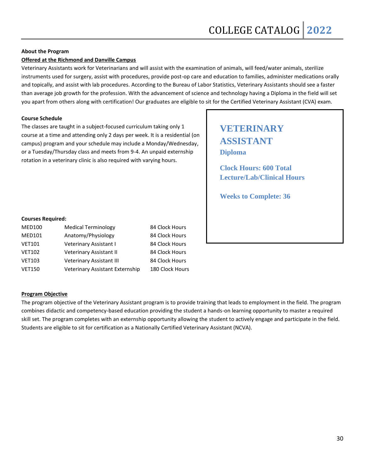### **Offered at the Richmond and Danville Campus**

Veterinary Assistants work for Veterinarians and will assist with the examination of animals, will feed/water animals, sterilize instruments used for surgery, assist with procedures, provide post-op care and education to families, administer medications orally and topically, and assist with lab procedures. According to the Bureau of Labor Statistics, Veterinary Assistants should see a faster than average job growth for the profession. With the advancement of science and technology having a Diploma in the field will set you apart from others along with certification! Our graduates are eligible to sit for the Certified Veterinary Assistant (CVA) exam.

#### **Course Schedule**

The classes are taught in a subject-focused curriculum taking only 1 course at a time and attending only 2 days per week. It is a residential (on campus) program and your schedule may include a Monday/Wednesday, or a Tuesday/Thursday class and meets from 9-4. An unpaid externship rotation in a veterinary clinic is also required with varying hours.

## **VETERINARY ASSISTANT Diploma**

**Clock Hours: 600 Total Lecture/Lab/Clinical Hours**

**Weeks to Complete: 36**

#### **Courses Required:**

| <b>MED100</b> | <b>Medical Terminology</b>      | 84 Clock Hours  |
|---------------|---------------------------------|-----------------|
| <b>MED101</b> | Anatomy/Physiology              | 84 Clock Hours  |
| <b>VET101</b> | Veterinary Assistant I          | 84 Clock Hours  |
| <b>VET102</b> | Veterinary Assistant II         | 84 Clock Hours  |
| <b>VET103</b> | Veterinary Assistant III        | 84 Clock Hours  |
| <b>VET150</b> | Veterinary Assistant Externship | 180 Clock Hours |

#### **Program Objective**

The program objective of the Veterinary Assistant program is to provide training that leads to employment in the field. The program combines didactic and competency-based education providing the student a hands-on learning opportunity to master a required skill set. The program completes with an externship opportunity allowing the student to actively engage and participate in the field. Students are eligible to sit for certification as a Nationally Certified Veterinary Assistant (NCVA).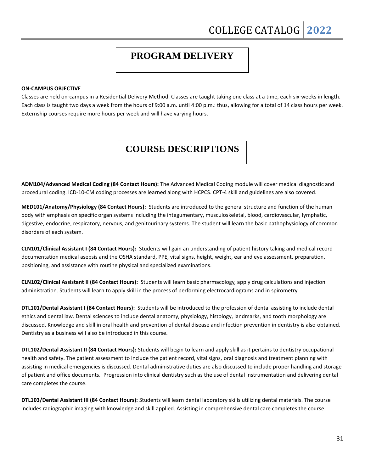## **PROGRAM DELIVERY**

#### **ON-CAMPUS OBJECTIVE**

Classes are held on-campus in a Residential Delivery Method. Classes are taught taking one class at a time, each six-weeks in length. Each class is taught two days a week from the hours of 9:00 a.m. until 4:00 p.m.: thus, allowing for a total of 14 class hours per week. Externship courses require more hours per week and will have varying hours.

## **COURSE DESCRIPTIONS**

**ADM104/Advanced Medical Coding (84 Contact Hours):** The Advanced Medical Coding module will cover medical diagnostic and procedural coding. ICD-10-CM coding processes are learned along with HCPCS. CPT-4 skill and guidelines are also covered.

**MED101/Anatomy/Physiology (84 Contact Hours):** Students are introduced to the general structure and function of the human body with emphasis on specific organ systems including the integumentary, musculoskeletal, blood, cardiovascular, lymphatic, digestive, endocrine, respiratory, nervous, and genitourinary systems. The student will learn the basic pathophysiology of common disorders of each system.

**CLN101/Clinical Assistant I (84 Contact Hours):** Students will gain an understanding of patient history taking and medical record documentation medical asepsis and the OSHA standard, PPE, vital signs, height, weight, ear and eye assessment, preparation, positioning, and assistance with routine physical and specialized examinations.

**CLN102/Clinical Assistant II (84 Contact Hours):** Students will learn basic pharmacology, apply drug calculations and injection administration. Students will learn to apply skill in the process of performing electrocardiograms and in spirometry.

**DTL101/Dental Assistant I (84 Contact Hours):** Students will be introduced to the profession of dental assisting to include dental ethics and dental law. Dental sciences to include dental anatomy, physiology, histology, landmarks, and tooth morphology are discussed. Knowledge and skill in oral health and prevention of dental disease and infection prevention in dentistry is also obtained. Dentistry as a business will also be introduced in this course.

**DTL102/Dental Assistant II (84 Contact Hours):** Students will begin to learn and apply skill as it pertains to dentistry occupational health and safety. The patient assessment to include the patient record, vital signs, oral diagnosis and treatment planning with assisting in medical emergencies is discussed. Dental administrative duties are also discussed to include proper handling and storage of patient and office documents. Progression into clinical dentistry such as the use of dental instrumentation and delivering dental care completes the course.

**DTL103/Dental Assistant III (84 Contact Hours):** Students will learn dental laboratory skills utilizing dental materials. The course includes radiographic imaging with knowledge and skill applied. Assisting in comprehensive dental care completes the course.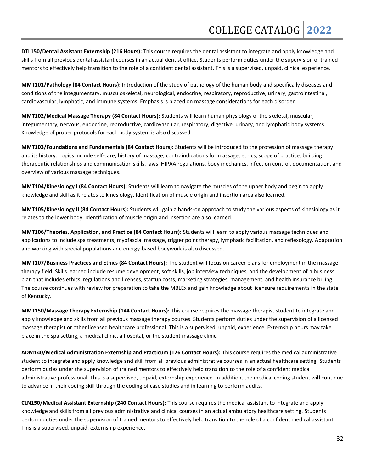**DTL150/Dental Assistant Externship (216 Hours):** This course requires the dental assistant to integrate and apply knowledge and skills from all previous dental assistant courses in an actual dentist office. Students perform duties under the supervision of trained mentors to effectively help transition to the role of a confident dental assistant. This is a supervised, unpaid, clinical experience.

**MMT101/Pathology (84 Contact Hours):** Introduction of the study of pathology of the human body and specifically diseases and conditions of the integumentary, musculoskeletal, neurological, endocrine, respiratory, reproductive, urinary, gastrointestinal, cardiovascular, lymphatic, and immune systems. Emphasis is placed on massage considerations for each disorder.

**MMT102/Medical Massage Therapy (84 Contact Hours):** Students will learn human physiology of the skeletal, muscular, integumentary, nervous, endocrine, reproductive, cardiovascular, respiratory, digestive, urinary, and lymphatic body systems. Knowledge of proper protocols for each body system is also discussed.

**MMT103/Foundations and Fundamentals (84 Contact Hours):** Students will be introduced to the profession of massage therapy and its history. Topics include self-care, history of massage, contraindications for massage, ethics, scope of practice, building therapeutic relationships and communication skills, laws, HIPAA regulations, body mechanics, infection control, documentation, and overview of various massage techniques.

**MMT104/Kinesiology I (84 Contact Hours):** Students will learn to navigate the muscles of the upper body and begin to apply knowledge and skill as it relates to kinesiology. Identification of muscle origin and insertion area also learned.

**MMT105/Kinesiology II (84 Contact Hours):** Students will gain a hands-on approach to study the various aspects of kinesiology as it relates to the lower body. Identification of muscle origin and insertion are also learned.

**MMT106/Theories, Application, and Practice (84 Contact Hours):** Students will learn to apply various massage techniques and applications to include spa treatments, myofascial massage, trigger point therapy, lymphatic facilitation, and reflexology. Adaptation and working with special populations and energy-based bodywork is also discussed.

**MMT107/Business Practices and Ethics (84 Contact Hours):** The student will focus on career plans for employment in the massage therapy field. Skills learned include resume development, soft skills, job interview techniques, and the development of a business plan that includes ethics, regulations and licenses, startup costs, marketing strategies, management, and health insurance billing. The course continues with review for preparation to take the MBLEx and gain knowledge about licensure requirements in the state of Kentucky.

**MMT150/Massage Therapy Externship (144 Contact Hours):** This course requires the massage therapist student to integrate and apply knowledge and skills from all previous massage therapy courses. Students perform duties under the supervision of a licensed massage therapist or other licensed healthcare professional. This is a supervised, unpaid, experience. Externship hours may take place in the spa setting, a medical clinic, a hospital, or the student massage clinic.

**ADM140/Medical Administration Externship and Practicum (126 Contact Hours):** This course requires the medical administrative student to integrate and apply knowledge and skill from all previous administrative courses in an actual healthcare setting. Students perform duties under the supervision of trained mentors to effectively help transition to the role of a confident medical administrative professional. This is a supervised, unpaid, externship experience. In addition, the medical coding student will continue to advance in their coding skill through the coding of case studies and in learning to perform audits.

**CLN150/Medical Assistant Externship (240 Contact Hours):** This course requires the medical assistant to integrate and apply knowledge and skills from all previous administrative and clinical courses in an actual ambulatory healthcare setting. Students perform duties under the supervision of trained mentors to effectively help transition to the role of a confident medical assistant. This is a supervised, unpaid, externship experience.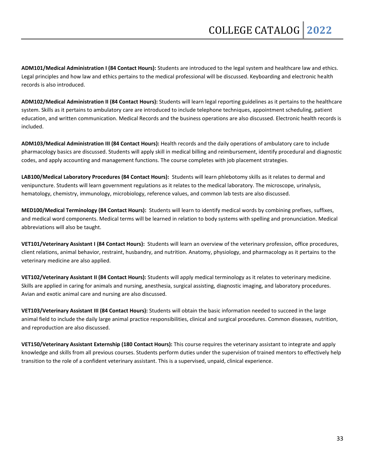**ADM101/Medical Administration I (84 Contact Hours):** Students are introduced to the legal system and healthcare law and ethics. Legal principles and how law and ethics pertains to the medical professional will be discussed. Keyboarding and electronic health records is also introduced.

**ADM102/Medical Administration II (84 Contact Hours):** Students will learn legal reporting guidelines as it pertains to the healthcare system. Skills as it pertains to ambulatory care are introduced to include telephone techniques, appointment scheduling, patient education, and written communication. Medical Records and the business operations are also discussed. Electronic health records is included.

**ADM103/Medical Administration III (84 Contact Hours):** Health records and the daily operations of ambulatory care to include pharmacology basics are discussed. Students will apply skill in medical billing and reimbursement, identify procedural and diagnostic codes, and apply accounting and management functions. The course completes with job placement strategies.

**LAB100/Medical Laboratory Procedures (84 Contact Hours):** Students will learn phlebotomy skills as it relates to dermal and venipuncture. Students will learn government regulations as it relates to the medical laboratory. The microscope, urinalysis, hematology, chemistry, immunology, microbiology, reference values, and common lab tests are also discussed.

**MED100/Medical Terminology (84 Contact Hours):** Students will learn to identify medical words by combining prefixes, suffixes, and medical word components. Medical terms will be learned in relation to body systems with spelling and pronunciation. Medical abbreviations will also be taught.

**VET101/Veterinary Assistant I (84 Contact Hours):** Students will learn an overview of the veterinary profession, office procedures, client relations, animal behavior, restraint, husbandry, and nutrition. Anatomy, physiology, and pharmacology as it pertains to the veterinary medicine are also applied.

**VET102/Veterinary Assistant II (84 Contact Hours):** Students will apply medical terminology as it relates to veterinary medicine. Skills are applied in caring for animals and nursing, anesthesia, surgical assisting, diagnostic imaging, and laboratory procedures. Avian and exotic animal care and nursing are also discussed.

**VET103/Veterinary Assistant III (84 Contact Hours):** Students will obtain the basic information needed to succeed in the large animal field to include the daily large animal practice responsibilities, clinical and surgical procedures. Common diseases, nutrition, and reproduction are also discussed.

**VET150/Veterinary Assistant Externship (180 Contact Hours):** This course requires the veterinary assistant to integrate and apply knowledge and skills from all previous courses. Students perform duties under the supervision of trained mentors to effectively help transition to the role of a confident veterinary assistant. This is a supervised, unpaid, clinical experience.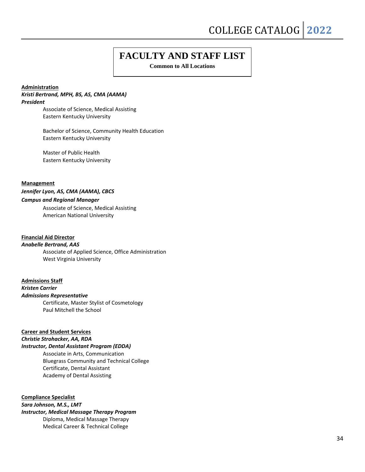## **FACULTY AND STAFF LIST**

**Common to All Locations**

#### **Administration**

#### *Kristi Bertrand, MPH, BS, AS, CMA (AAMA) President*

Associate of Science, Medical Assisting Eastern Kentucky University

Bachelor of Science, Community Health Education Eastern Kentucky University

Master of Public Health Eastern Kentucky University

#### **Management**

*Jennifer Lyon, AS, CMA (AAMA), CBCS Campus and Regional Manager*

> Associate of Science, Medical Assisting American National University

### **Financial Aid Director**

*Anabelle Bertrand, AAS* Associate of Applied Science, Office Administration

West Virginia University

#### **Admissions Staff**

*Kristen Carrier Admissions Representative*

Certificate, Master Stylist of Cosmetology Paul Mitchell the School

#### **Career and Student Services**

*Christie Strohacker, AA, RDA*

#### *Instructor, Dental Assistant Program (EDDA)*

Associate in Arts, Communication Bluegrass Community and Technical College Certificate, Dental Assistant Academy of Dental Assisting

**Compliance Specialist** *Sara Johnson, M.S., LMT Instructor, Medical Massage Therapy Program*

Diploma, Medical Massage Therapy Medical Career & Technical College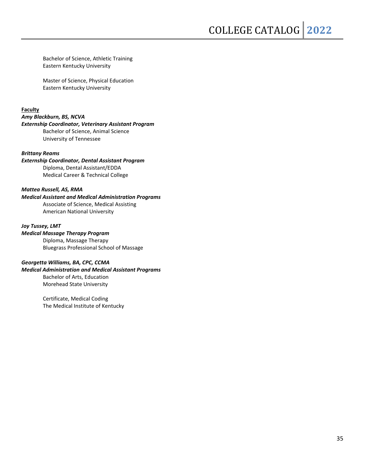Bachelor of Science, Athletic Training Eastern Kentucky University

Master of Science, Physical Education Eastern Kentucky University

**Faculty**

#### *Amy Blackburn, BS, NCVA*

#### *Externship Coordinator, Veterinary Assistant Program* Bachelor of Science, Animal Science University of Tennessee

#### *Brittany Reams*

#### *Externship Coordinator, Dental Assistant Program* Diploma, Dental Assistant/EDDA Medical Career & Technical College

#### *Mattea Russell, AS, RMA*

*Medical Assistant and Medical Administration Programs* Associate of Science, Medical Assisting American National University

#### *Joy Tussey, LMT Medical Massage Therapy Program*

Diploma, Massage Therapy Bluegrass Professional School of Massage

#### *Georgetta Williams, BA, CPC, CCMA*

### *Medical Administration and Medical Assistant Programs* Bachelor of Arts, Education Morehead State University

Certificate, Medical Coding The Medical Institute of Kentucky